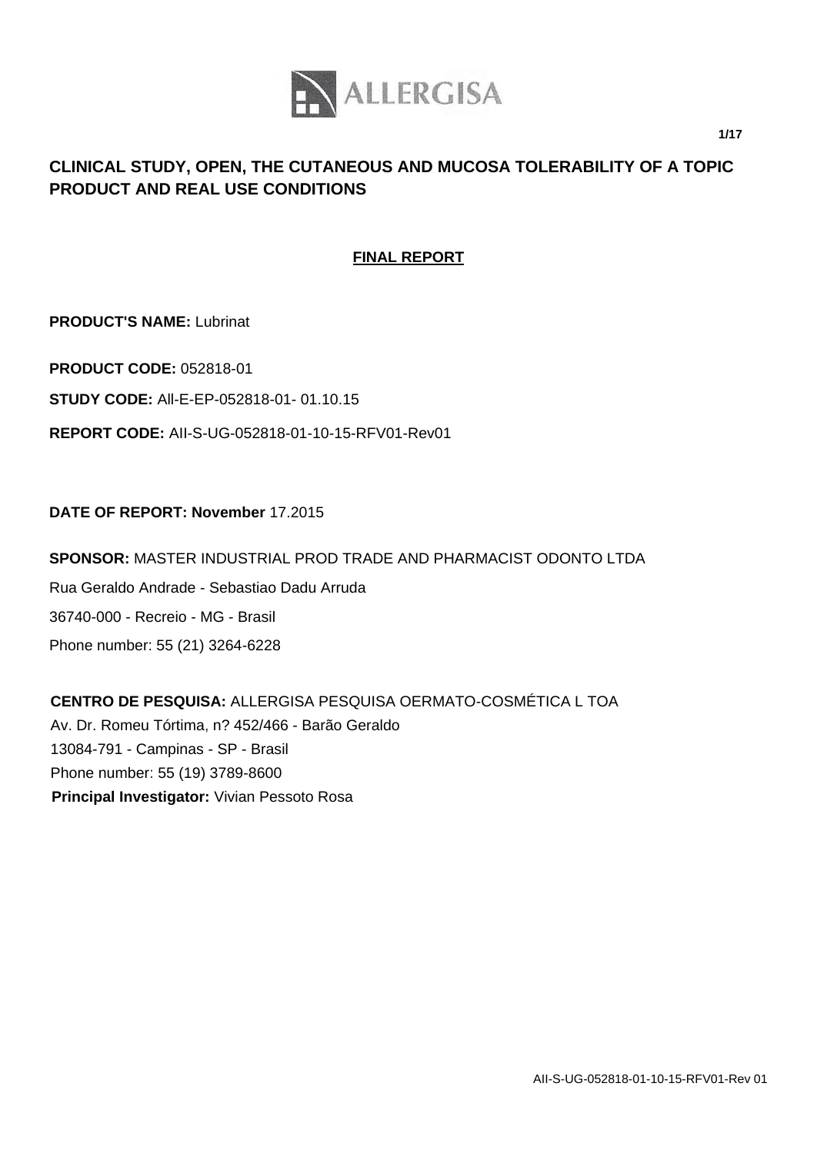

**1/17**

# **CLINICAL STUDY, OPEN, THE CUTANEOUS AND MUCOSA TOLERABILITY OF A TOPIC PRODUCT AND REAL USE CONDITIONS**

# **FINAL REPORT**

**PRODUCT'S NAME:** Lubrinat

**PRODUCT CODE:** 052818-01

**STUDY CODE:** All-E-EP-052818-01- 01.10.15

**REPORT CODE:** AII-S-UG-052818-01-10-15-RFV01-Rev01

## **DATE OF REPORT: November** 17.2015

**SPONSOR:** MASTER INDUSTRIAL PROD TRADE AND PHARMACIST ODONTO LTDA Rua Geraldo Andrade - Sebastiao Dadu Arruda 36740-000 - Recreio - MG - Brasil Phone number: 55 (21) 3264-6228

**CENTRO DE PESQUISA:** ALLERGISA PESQUISA OERMATO-COSMÉTICA L TOA Av. Dr. Romeu Tórtima, n? 452/466 - Barão Geraldo 13084-791 - Campinas - SP - Brasil Phone number: 55 (19) 3789-8600 **Principal Investigator:** Vivian Pessoto Rosa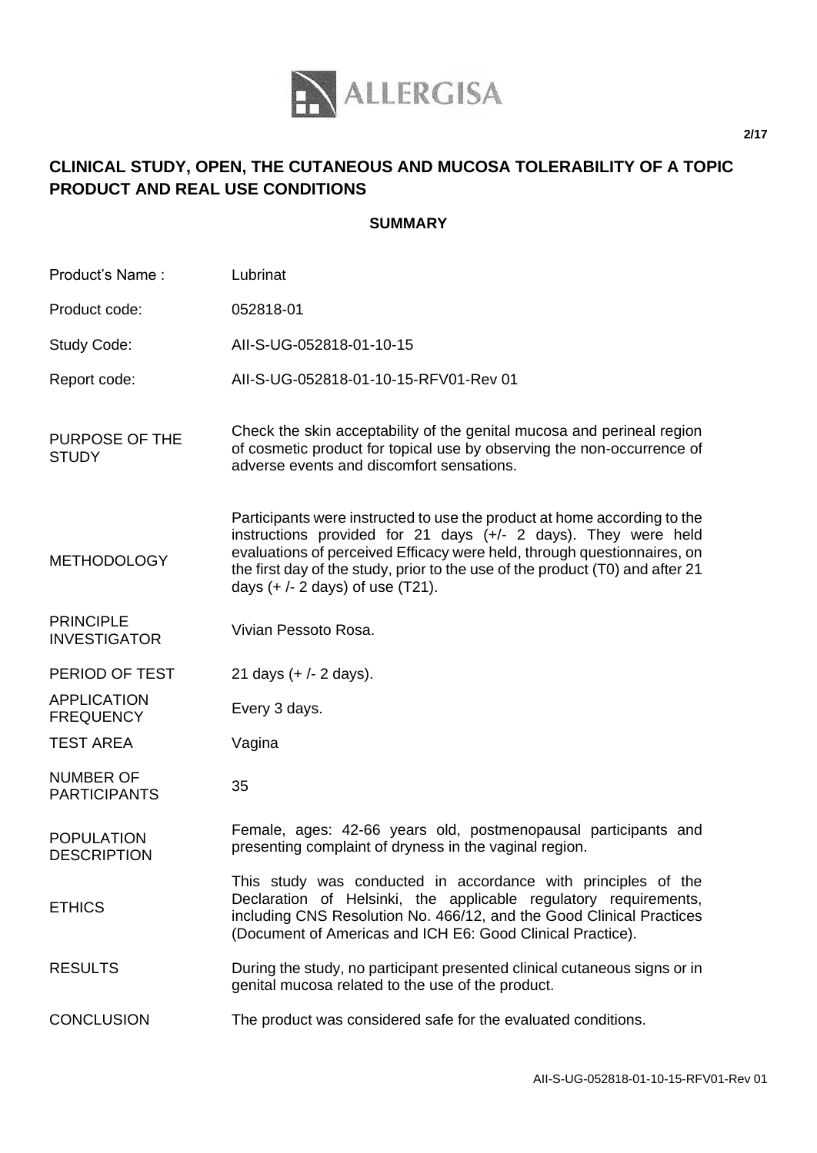

# **CLINICAL STUDY, OPEN, THE CUTANEOUS AND MUCOSA TOLERABILITY OF A TOPIC PRODUCT AND REAL USE CONDITIONS**

## **SUMMARY**

| Product's Name:                         | Lubrinat                                                                                                                                                                                                                                                                                                                                       |
|-----------------------------------------|------------------------------------------------------------------------------------------------------------------------------------------------------------------------------------------------------------------------------------------------------------------------------------------------------------------------------------------------|
| Product code:                           | 052818-01                                                                                                                                                                                                                                                                                                                                      |
| Study Code:                             | All-S-UG-052818-01-10-15                                                                                                                                                                                                                                                                                                                       |
| Report code:                            | All-S-UG-052818-01-10-15-RFV01-Rev 01                                                                                                                                                                                                                                                                                                          |
| PURPOSE OF THE<br><b>STUDY</b>          | Check the skin acceptability of the genital mucosa and perineal region<br>of cosmetic product for topical use by observing the non-occurrence of<br>adverse events and discomfort sensations.                                                                                                                                                  |
| <b>METHODOLOGY</b>                      | Participants were instructed to use the product at home according to the<br>instructions provided for 21 days (+/- 2 days). They were held<br>evaluations of perceived Efficacy were held, through questionnaires, on<br>the first day of the study, prior to the use of the product (T0) and after 21<br>days $(+/- 2$ days) of use $(T21)$ . |
| <b>PRINCIPLE</b><br><b>INVESTIGATOR</b> | Vivian Pessoto Rosa.                                                                                                                                                                                                                                                                                                                           |
| PERIOD OF TEST                          | 21 days $(+/- 2$ days).                                                                                                                                                                                                                                                                                                                        |
| <b>APPLICATION</b><br><b>FREQUENCY</b>  | Every 3 days.                                                                                                                                                                                                                                                                                                                                  |
| <b>TEST AREA</b>                        | Vagina                                                                                                                                                                                                                                                                                                                                         |
| <b>NUMBER OF</b><br><b>PARTICIPANTS</b> | 35                                                                                                                                                                                                                                                                                                                                             |
| <b>POPULATION</b><br><b>DESCRIPTION</b> | Female, ages: 42-66 years old, postmenopausal participants and<br>presenting complaint of dryness in the vaginal region.                                                                                                                                                                                                                       |
| <b>ETHICS</b>                           | This study was conducted in accordance with principles of the<br>Declaration of Helsinki, the applicable regulatory requirements,<br>including CNS Resolution No. 466/12, and the Good Clinical Practices<br>(Document of Americas and ICH E6: Good Clinical Practice).                                                                        |
| <b>RESULTS</b>                          | During the study, no participant presented clinical cutaneous signs or in<br>genital mucosa related to the use of the product.                                                                                                                                                                                                                 |
| <b>CONCLUSION</b>                       | The product was considered safe for the evaluated conditions.                                                                                                                                                                                                                                                                                  |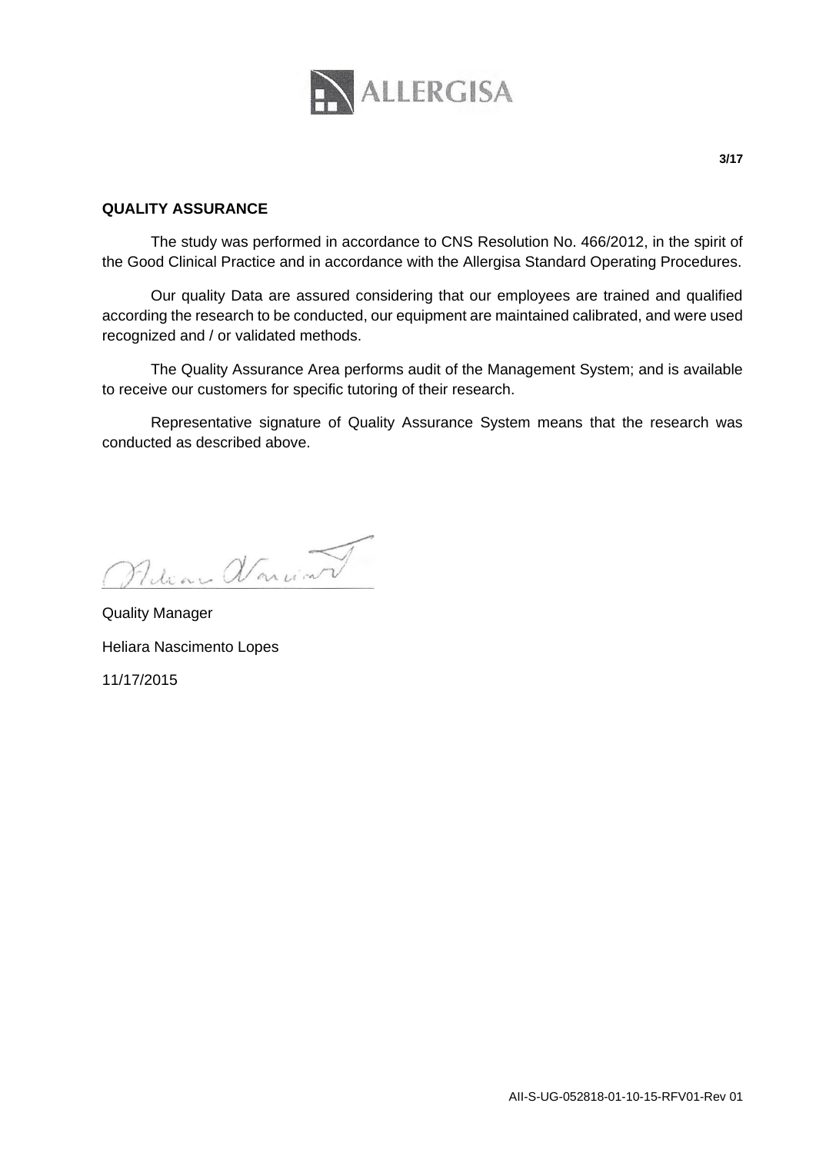

#### **QUALITY ASSURANCE**

The study was performed in accordance to CNS Resolution No. 466/2012, in the spirit of the Good Clinical Practice and in accordance with the Allergisa Standard Operating Procedures.

Our quality Data are assured considering that our employees are trained and qualified according the research to be conducted, our equipment are maintained calibrated, and were used recognized and / or validated methods.

The Quality Assurance Area performs audit of the Management System; and is available to receive our customers for specific tutoring of their research.

Representative signature of Quality Assurance System means that the research was conducted as described above.

Retian Variant

Quality Manager Heliara Nascimento Lopes 11/17/2015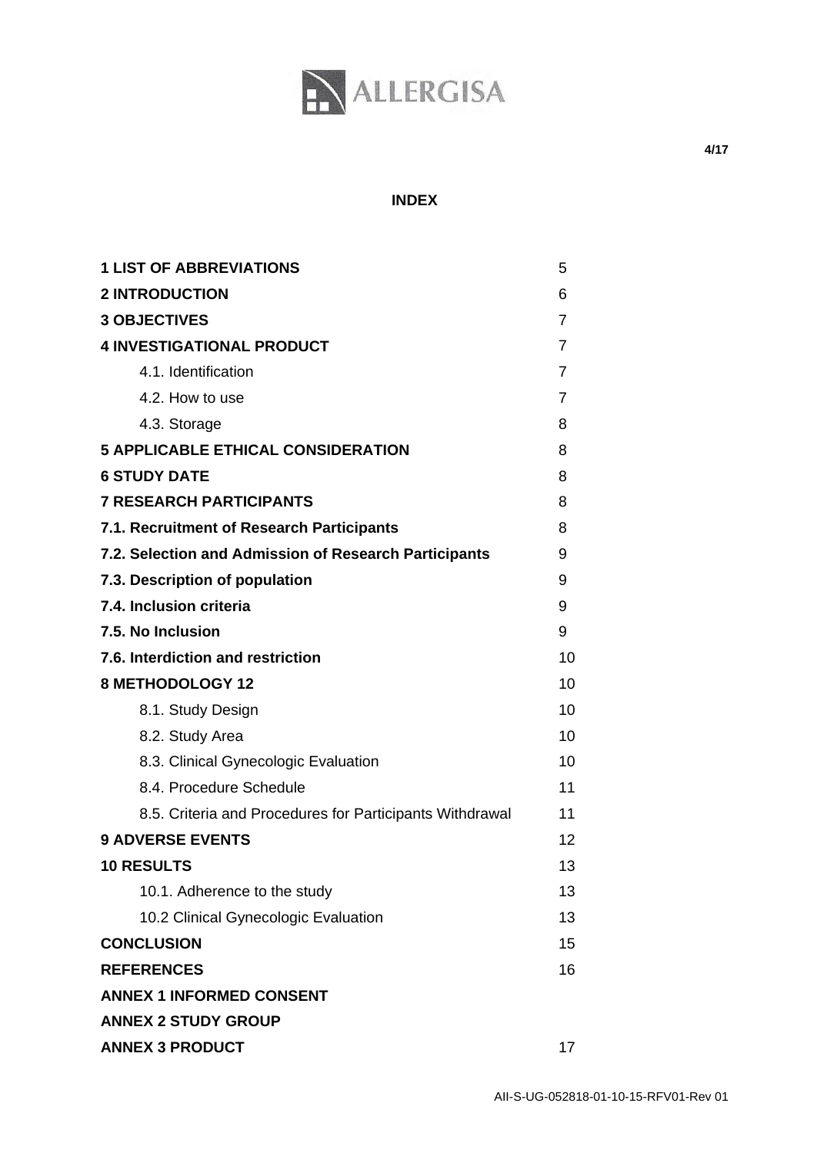

#### **INDEX**

| <b>1 LIST OF ABBREVIATIONS</b>                           |    |  |
|----------------------------------------------------------|----|--|
| <b>2 INTRODUCTION</b>                                    |    |  |
| <b>3 OBJECTIVES</b>                                      |    |  |
| <b>4 INVESTIGATIONAL PRODUCT</b>                         |    |  |
| 4.1. Identification                                      | 7  |  |
| 4.2. How to use                                          | 7  |  |
| 4.3. Storage                                             | 8  |  |
| <b>5 APPLICABLE ETHICAL CONSIDERATION</b>                | 8  |  |
| <b>6 STUDY DATE</b>                                      |    |  |
| <b>7 RESEARCH PARTICIPANTS</b>                           |    |  |
| 7.1. Recruitment of Research Participants                |    |  |
| 7.2. Selection and Admission of Research Participants    |    |  |
| 7.3. Description of population                           | 9  |  |
| 7.4. Inclusion criteria                                  | 9  |  |
| 7.5. No Inclusion                                        | 9  |  |
| 7.6. Interdiction and restriction                        | 10 |  |
| <b>8 METHODOLOGY 12</b>                                  |    |  |
| 8.1. Study Design                                        | 10 |  |
| 8.2. Study Area                                          | 10 |  |
| 8.3. Clinical Gynecologic Evaluation                     | 10 |  |
| 8.4. Procedure Schedule                                  | 11 |  |
| 8.5. Criteria and Procedures for Participants Withdrawal | 11 |  |
| <b>9 ADVERSE EVENTS</b>                                  | 12 |  |
| <b>10 RESULTS</b>                                        | 13 |  |
| 10.1. Adherence to the study                             | 13 |  |
| 10.2 Clinical Gynecologic Evaluation                     | 13 |  |
| <b>CONCLUSION</b>                                        |    |  |
| <b>REFERENCES</b>                                        | 16 |  |
| <b>ANNEX 1 INFORMED CONSENT</b>                          |    |  |
| <b>ANNEX 2 STUDY GROUP</b>                               |    |  |
| <b>ANNEX 3 PRODUCT</b>                                   |    |  |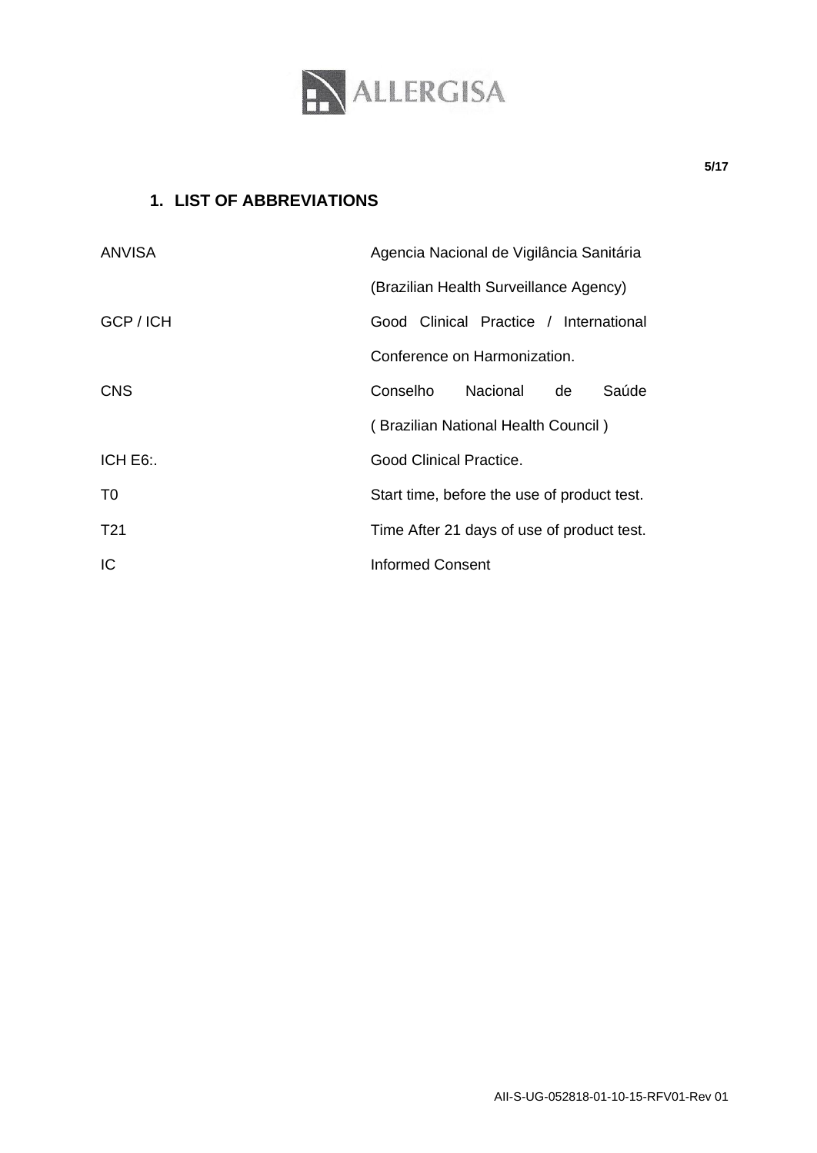

# **1. LIST OF ABBREVIATIONS**

| <b>ANVISA</b>   | Agencia Nacional de Vigilância Sanitária    |  |  |
|-----------------|---------------------------------------------|--|--|
|                 | (Brazilian Health Surveillance Agency)      |  |  |
| GCP / ICH       | Good Clinical Practice / International      |  |  |
|                 | Conference on Harmonization.                |  |  |
| <b>CNS</b>      | Conselho<br><b>Nacional</b><br>Saúde<br>de  |  |  |
|                 | (Brazilian National Health Council)         |  |  |
| ICH E6:         | Good Clinical Practice.                     |  |  |
| T <sub>0</sub>  | Start time, before the use of product test. |  |  |
| T <sub>21</sub> | Time After 21 days of use of product test.  |  |  |
| IC              | Informed Consent                            |  |  |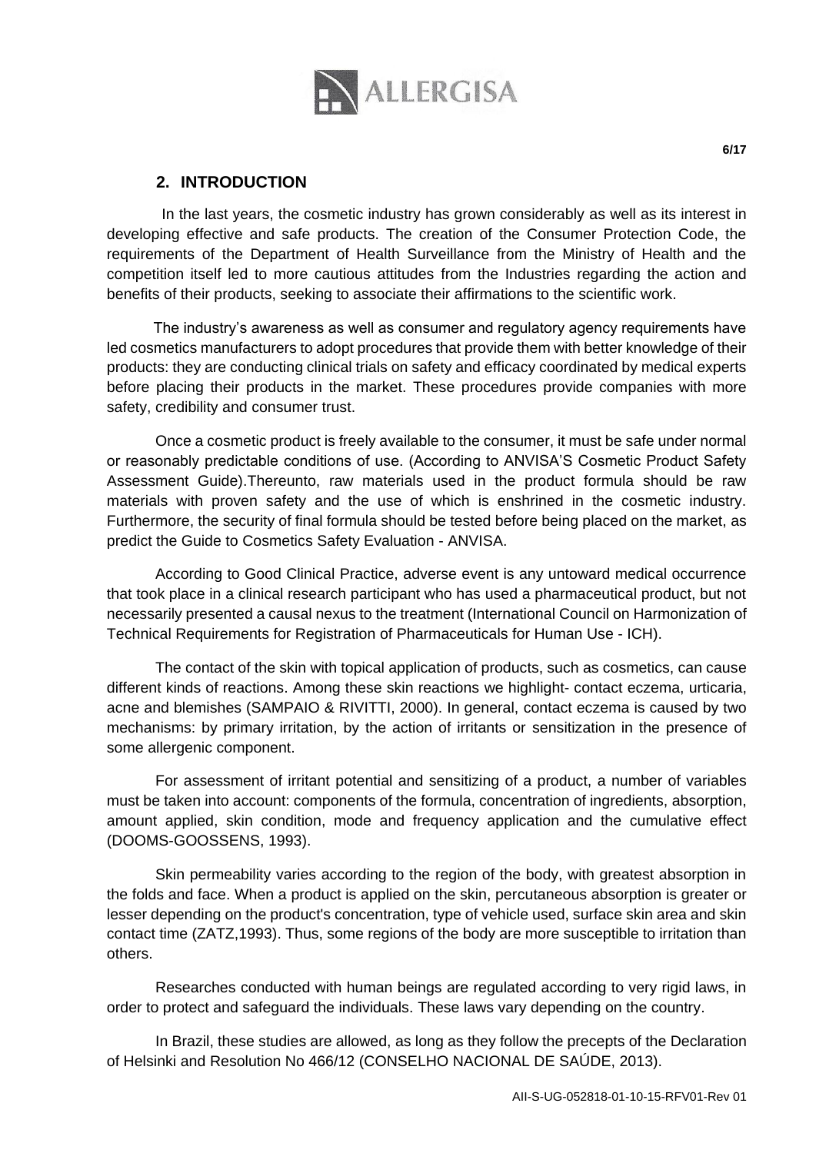

 In the last years, the cosmetic industry has grown considerably as well as its interest in developing effective and safe products. The creation of the Consumer Protection Code, the requirements of the Department of Health Surveillance from the Ministry of Health and the competition itself led to more cautious attitudes from the Industries regarding the action and benefits of their products, seeking to associate their affirmations to the scientific work.

 The industry's awareness as well as consumer and regulatory agency requirements have led cosmetics manufacturers to adopt procedures that provide them with better knowledge of their products: they are conducting clinical trials on safety and efficacy coordinated by medical experts before placing their products in the market. These procedures provide companies with more safety, credibility and consumer trust.

Once a cosmetic product is freely available to the consumer, it must be safe under normal or reasonably predictable conditions of use. (According to ANVISA'S Cosmetic Product Safety Assessment Guide).Thereunto, raw materials used in the product formula should be raw materials with proven safety and the use of which is enshrined in the cosmetic industry. Furthermore, the security of final formula should be tested before being placed on the market, as predict the Guide to Cosmetics Safety Evaluation - ANVISA.

According to Good Clinical Practice, adverse event is any untoward medical occurrence that took place in a clinical research participant who has used a pharmaceutical product, but not necessarily presented a causal nexus to the treatment (International Council on Harmonization of Technical Requirements for Registration of Pharmaceuticals for Human Use - ICH).

The contact of the skin with topical application of products, such as cosmetics, can cause different kinds of reactions. Among these skin reactions we highlight- contact eczema, urticaria, acne and blemishes (SAMPAIO & RIVITTI, 2000). In general, contact eczema is caused by two mechanisms: by primary irritation, by the action of irritants or sensitization in the presence of some allergenic component.

For assessment of irritant potential and sensitizing of a product, a number of variables must be taken into account: components of the formula, concentration of ingredients, absorption, amount applied, skin condition, mode and frequency application and the cumulative effect (DOOMS-GOOSSENS, 1993).

Skin permeability varies according to the region of the body, with greatest absorption in the folds and face. When a product is applied on the skin, percutaneous absorption is greater or lesser depending on the product's concentration, type of vehicle used, surface skin area and skin contact time (ZATZ,1993). Thus, some regions of the body are more susceptible to irritation than others.

Researches conducted with human beings are regulated according to very rigid laws, in order to protect and safeguard the individuals. These laws vary depending on the country.

In Brazil, these studies are allowed, as long as they follow the precepts of the Declaration of Helsinki and Resolution No 466/12 (CONSELHO NACIONAL DE SAÚDE, 2013).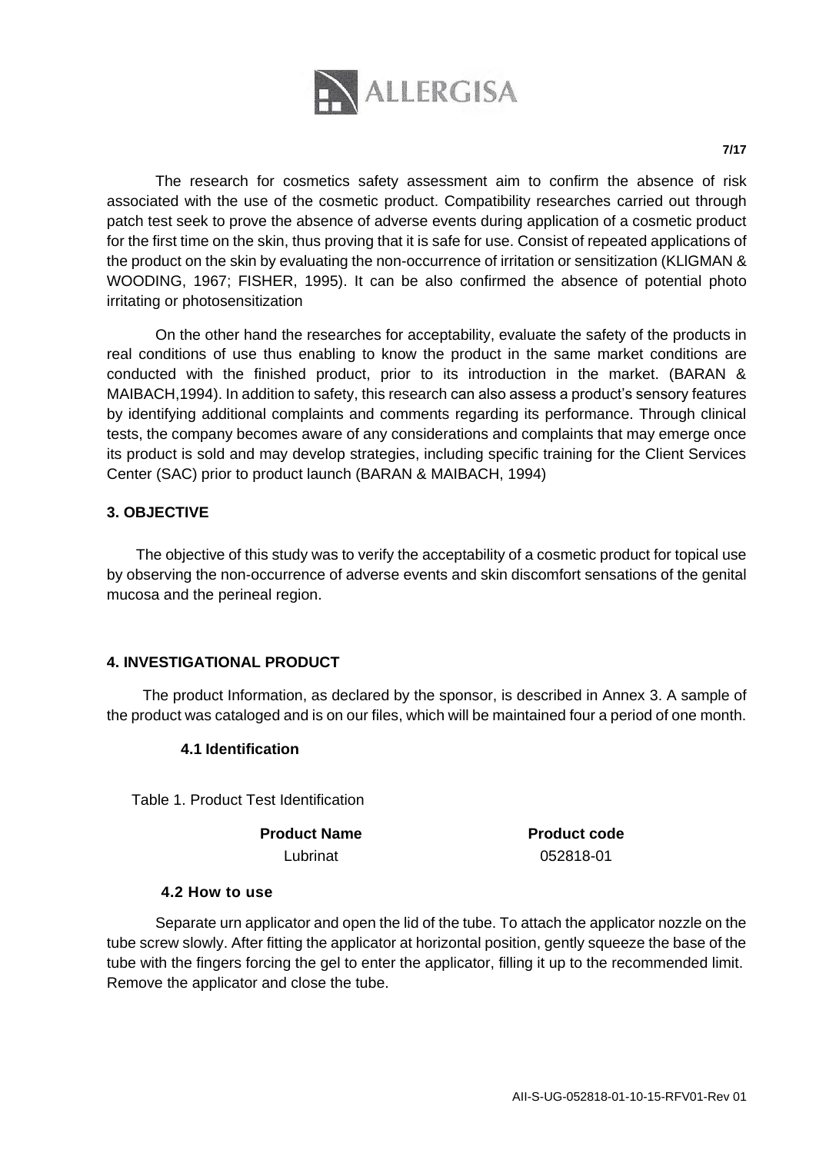

The research for cosmetics safety assessment aim to confirm the absence of risk associated with the use of the cosmetic product. Compatibility researches carried out through patch test seek to prove the absence of adverse events during application of a cosmetic product for the first time on the skin, thus proving that it is safe for use. Consist of repeated applications of the product on the skin by evaluating the non-occurrence of irritation or sensitization (KLlGMAN & WOODING, 1967; FISHER, 1995). It can be also confirmed the absence of potential photo irritating or photosensitization

On the other hand the researches for acceptability, evaluate the safety of the products in real conditions of use thus enabling to know the product in the same market conditions are conducted with the finished product, prior to its introduction in the market. (BARAN & MAIBACH,1994). In addition to safety, this research can also assess a product's sensory features by identifying additional complaints and comments regarding its performance. Through clinical tests, the company becomes aware of any considerations and complaints that may emerge once its product is sold and may develop strategies, including specific training for the Client Services Center (SAC) prior to product launch (BARAN & MAIBACH, 1994)

## **3. OBJECTIVE**

The objective of this study was to verify the acceptability of a cosmetic product for topical use by observing the non-occurrence of adverse events and skin discomfort sensations of the genital mucosa and the perineal region.

## **4. INVESTIGATIONAL PRODUCT**

The product Information, as declared by the sponsor, is described in Annex 3. A sample of the product was cataloged and is on our files, which will be maintained four a period of one month.

#### **4.1 Identification**

Table 1. Product Test Identification

**Product Name Product code**

Lubrinat 052818-01

#### **4.2 How to use**

Separate urn applicator and open the lid of the tube. To attach the applicator nozzle on the tube screw slowly. After fitting the applicator at horizontal position, gently squeeze the base of the tube with the fingers forcing the gel to enter the applicator, filling it up to the recommended limit. Remove the applicator and close the tube.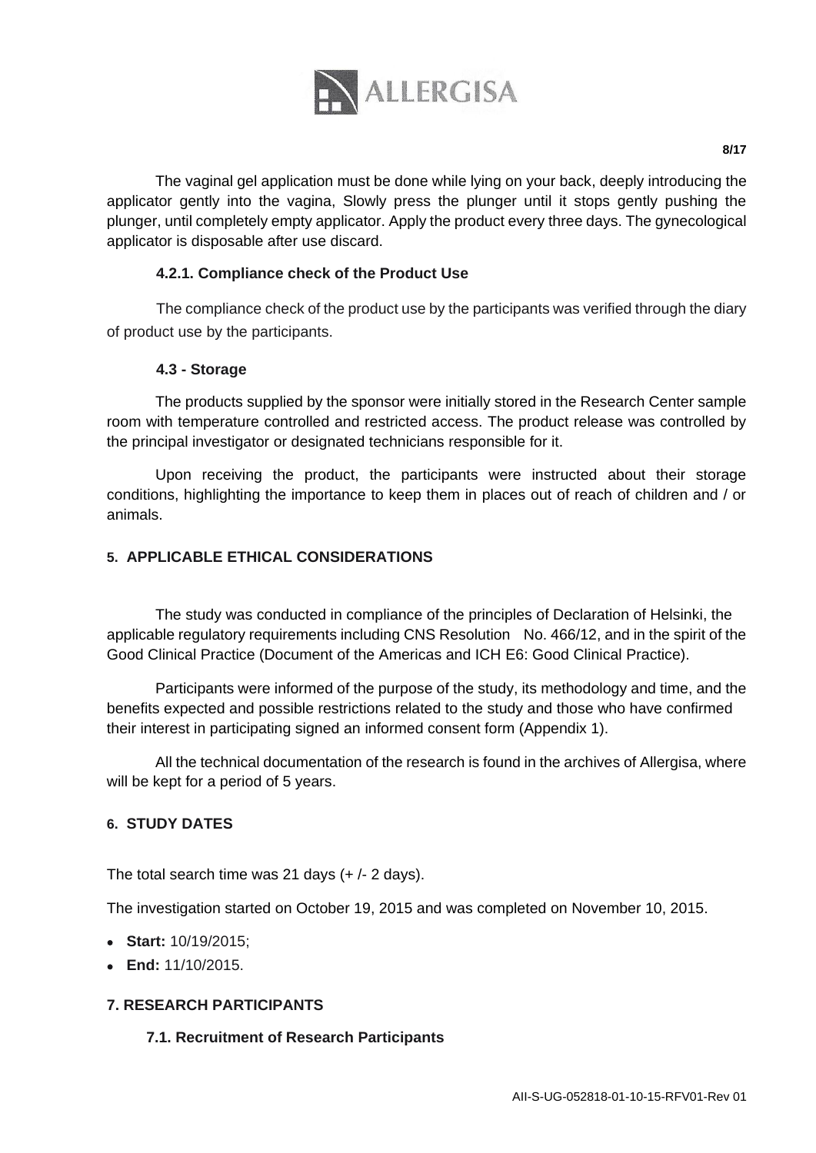

The vaginal gel application must be done while lying on your back, deeply introducing the applicator gently into the vagina, Slowly press the plunger until it stops gently pushing the plunger, until completely empty applicator. Apply the product every three days. The gynecological applicator is disposable after use discard.

## **4.2.1. Compliance check of the Product Use**

The compliance check of the product use by the participants was verified through the diary of product use by the participants.

## **4.3 - Storage**

The products supplied by the sponsor were initially stored in the Research Center sample room with temperature controlled and restricted access. The product release was controlled by the principal investigator or designated technicians responsible for it.

Upon receiving the product, the participants were instructed about their storage conditions, highlighting the importance to keep them in places out of reach of children and / or animals.

## **5. APPLICABLE ETHICAL CONSIDERATIONS**

The study was conducted in compliance of the principles of Declaration of Helsinki, the applicable regulatory requirements including CNS Resolution No. 466/12, and in the spirit of the Good Clinical Practice (Document of the Americas and ICH E6: Good Clinical Practice).

Participants were informed of the purpose of the study, its methodology and time, and the benefits expected and possible restrictions related to the study and those who have confirmed their interest in participating signed an informed consent form (Appendix 1).

All the technical documentation of the research is found in the archives of Allergisa, where will be kept for a period of 5 years.

# **6. STUDY DATES**

The total search time was 21 days  $(+/- 2$  days).

The investigation started on October 19, 2015 and was completed on November 10, 2015.

- **Start:** 10/19/2015;
- **End:** 11/10/2015.

# **7. RESEARCH PARTICIPANTS**

## **7.1. Recruitment of Research Participants**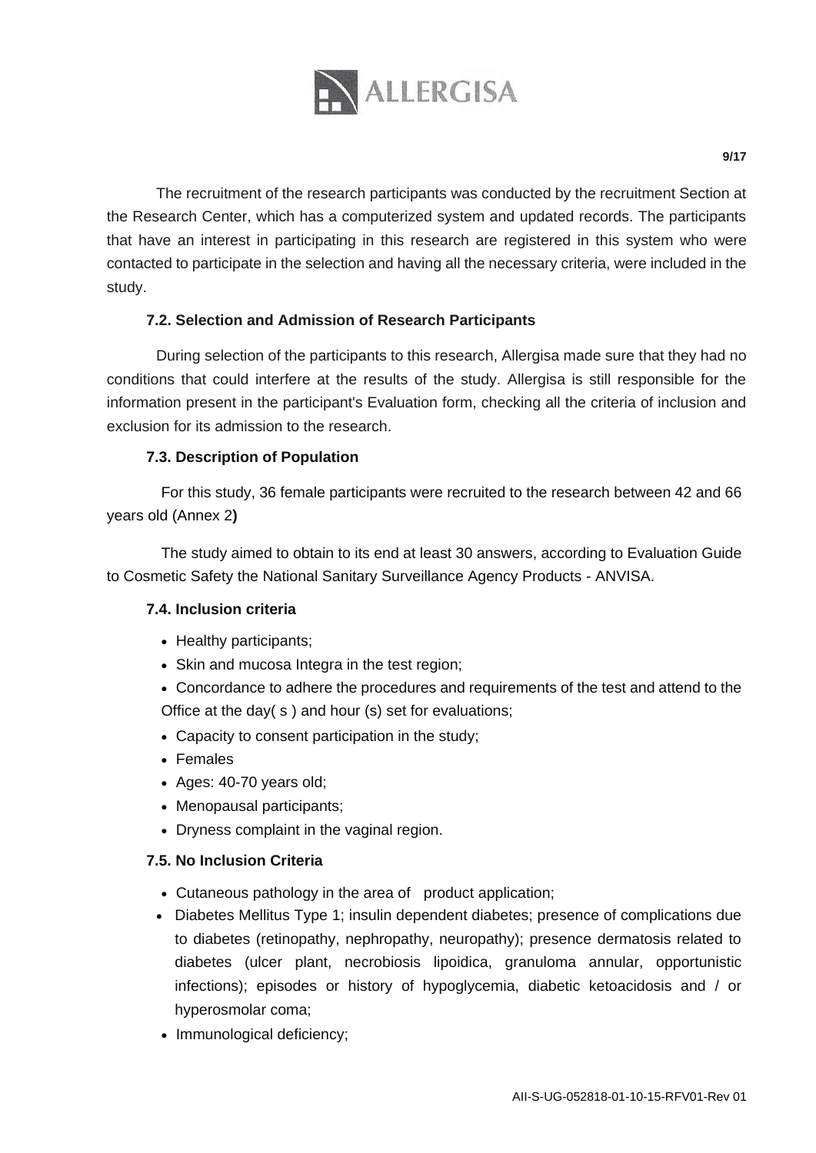

The recruitment of the research participants was conducted by the recruitment Section at the Research Center, which has a computerized system and updated records. The participants that have an interest in participating in this research are registered in this system who were contacted to participate in the selection and having all the necessary criteria, were included in the study.

## **7.2. Selection and Admission of Research Participants**

During selection of the participants to this research, Allergisa made sure that they had no conditions that could interfere at the results of the study. Allergisa is still responsible for the information present in the participant's Evaluation form, checking all the criteria of inclusion and exclusion for its admission to the research.

## **7.3. Description of Population**

For this study, 36 female participants were recruited to the research between 42 and 66 years old (Annex 2**)** 

The study aimed to obtain to its end at least 30 answers, according to Evaluation Guide to Cosmetic Safety the National Sanitary Surveillance Agency Products - ANVISA.

## **7.4. Inclusion criteria**

- Healthy participants:
- Skin and mucosa Integra in the test region;
- Concordance to adhere the procedures and requirements of the test and attend to the Office at the day( s ) and hour (s) set for evaluations;
- Capacity to consent participation in the study;
- Females
- Ages: 40-70 years old;
- Menopausal participants:
- Dryness complaint in the vaginal region.

## **7.5. No Inclusion Criteria**

- Cutaneous pathology in the area of product application:
- Diabetes Mellitus Type 1; insulin dependent diabetes; presence of complications due to diabetes (retinopathy, nephropathy, neuropathy); presence dermatosis related to diabetes (ulcer plant, necrobiosis lipoidica, granuloma annular, opportunistic infections); episodes or history of hypoglycemia, diabetic ketoacidosis and / or hyperosmolar coma;
- Immunological deficiency: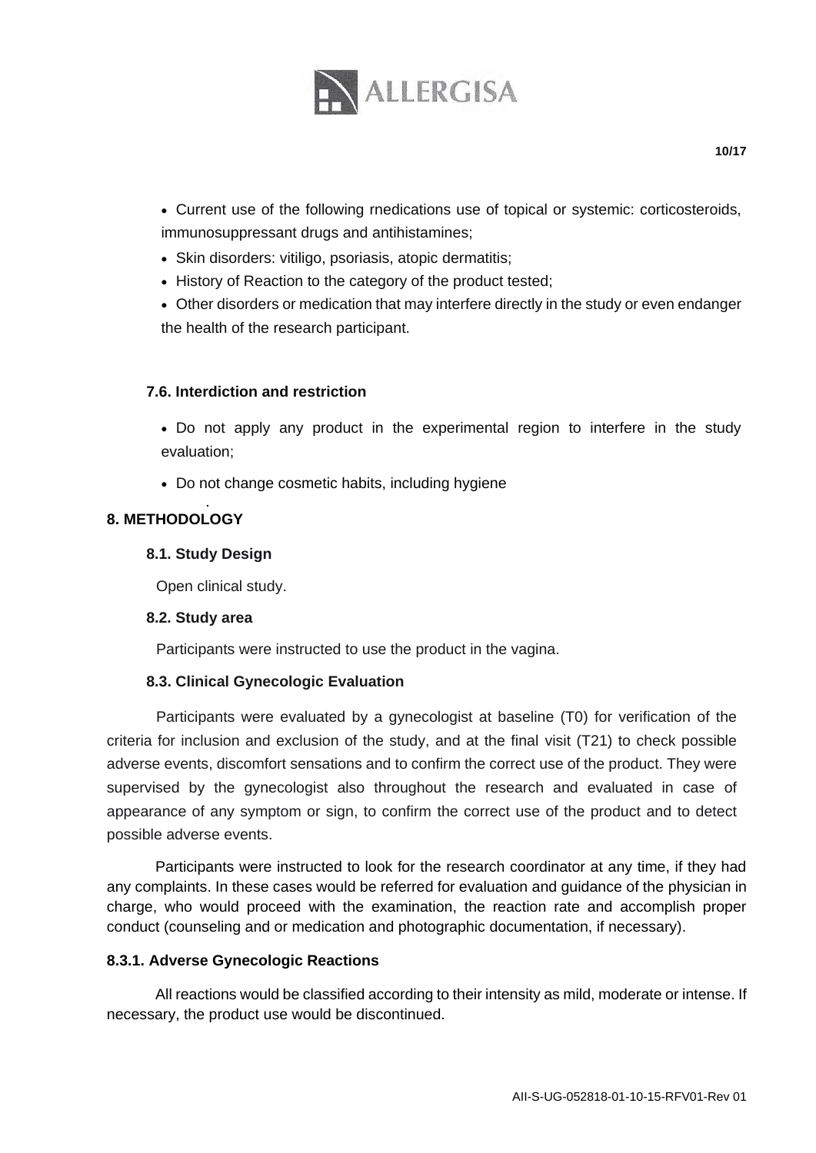

 Current use of the following rnedications use of topical or systemic: corticosteroids, immunosuppressant drugs and antihistamines;

- Skin disorders: vitiligo, psoriasis, atopic dermatitis;
- History of Reaction to the category of the product tested;
- Other disorders or medication that may interfere directly in the study or even endanger the health of the research participant.

#### **7.6. Interdiction and restriction**

• Do not apply any product in the experimental region to interfere in the study evaluation;

• Do not change cosmetic habits, including hygiene

#### . **8. METHODOLOGY**

#### **8.1. Study Design**

Open clinical study.

#### **8.2. Study area**

Participants were instructed to use the product in the vagina.

## **8.3. Clinical Gynecologic Evaluation**

Participants were evaluated by a gynecologist at baseline (T0) for verification of the criteria for inclusion and exclusion of the study, and at the final visit (T21) to check possible adverse events, discomfort sensations and to confirm the correct use of the product. They were supervised by the gynecologist also throughout the research and evaluated in case of appearance of any symptom or sign, to confirm the correct use of the product and to detect possible adverse events.

Participants were instructed to look for the research coordinator at any time, if they had any complaints. In these cases would be referred for evaluation and guidance of the physician in charge, who would proceed with the examination, the reaction rate and accomplish proper conduct (counseling and or medication and photographic documentation, if necessary).

#### **8.3.1. Adverse Gynecologic Reactions**

All reactions would be classified according to their intensity as mild, moderate or intense. If necessary, the product use would be discontinued.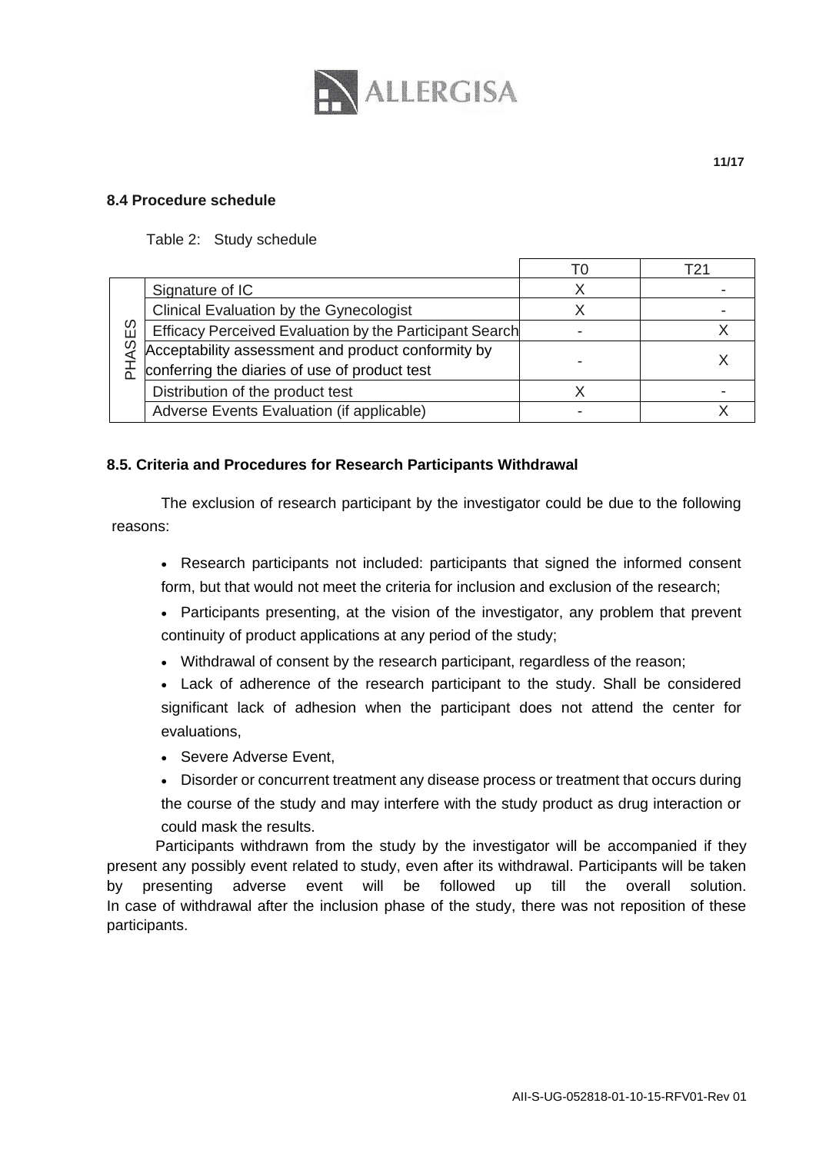

#### **8.4 Procedure schedule**

#### Table 2: Study schedule

|      |                                                         | 10 | Т21 |
|------|---------------------------------------------------------|----|-----|
|      | Signature of IC                                         |    |     |
|      | Clinical Evaluation by the Gynecologist                 |    |     |
| ASES | Efficacy Perceived Evaluation by the Participant Search |    |     |
|      | Acceptability assessment and product conformity by      |    |     |
|      | conferring the diaries of use of product test           |    |     |
|      | Distribution of the product test                        |    |     |
|      | Adverse Events Evaluation (if applicable)               |    |     |

#### **8.5. Criteria and Procedures for Research Participants Withdrawal**

The exclusion of research participant by the investigator could be due to the following reasons:

- Research participants not included: participants that signed the informed consent form, but that would not meet the criteria for inclusion and exclusion of the research;
- Participants presenting, at the vision of the investigator, any problem that prevent continuity of product applications at any period of the study;
- Withdrawal of consent by the research participant, regardless of the reason;
- Lack of adherence of the research participant to the study. Shall be considered significant lack of adhesion when the participant does not attend the center for evaluations,
- Severe Adverse Event.
- Disorder or concurrent treatment any disease process or treatment that occurs during the course of the study and may interfere with the study product as drug interaction or could mask the results.

Participants withdrawn from the study by the investigator will be accompanied if they present any possibly event related to study, even after its withdrawal. Participants will be taken by presenting adverse event will be followed up till the overall solution. In case of withdrawal after the inclusion phase of the study, there was not reposition of these participants.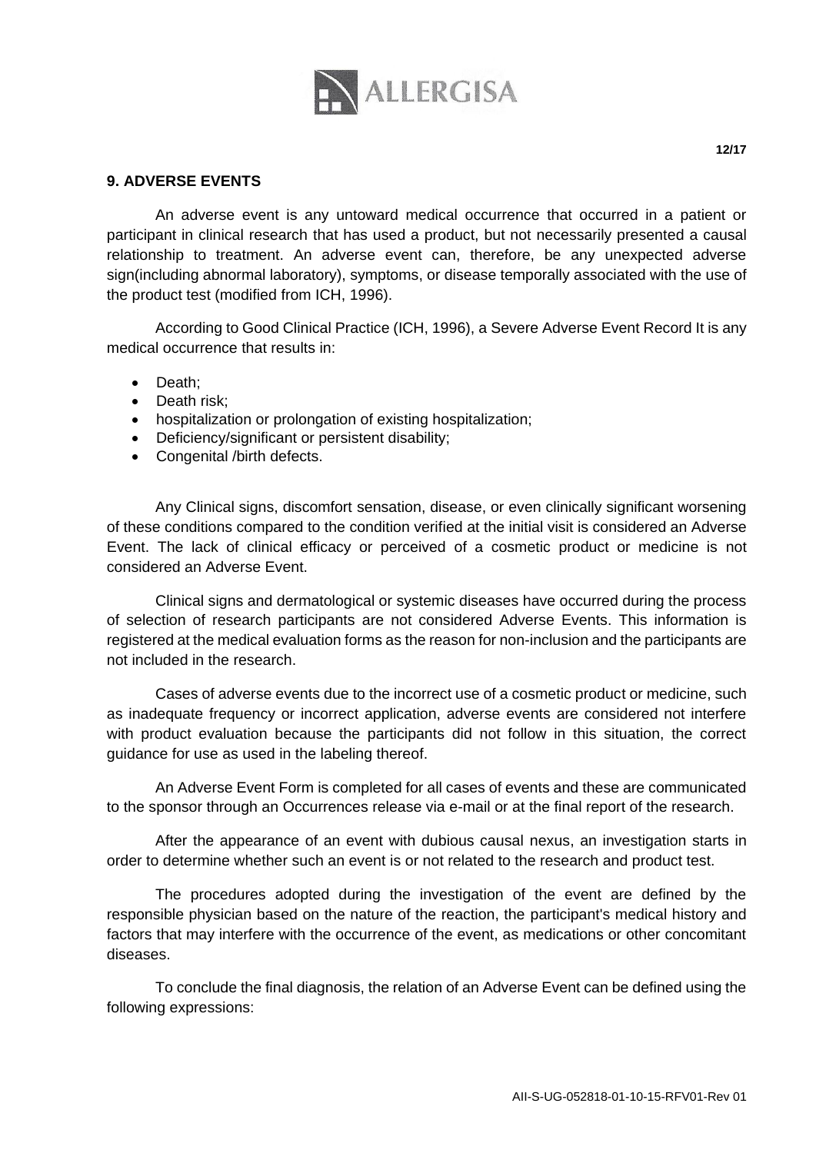

An adverse event is any untoward medical occurrence that occurred in a patient or participant in clinical research that has used a product, but not necessarily presented a causal relationship to treatment. An adverse event can, therefore, be any unexpected adverse sign(including abnormal laboratory), symptoms, or disease temporally associated with the use of the product test (modified from ICH, 1996).

According to Good Clinical Practice (ICH, 1996), a Severe Adverse Event Record It is any medical occurrence that results in:

- Death;
- Death risk;
- hospitalization or prolongation of existing hospitalization;
- Deficiency/significant or persistent disability;
- Congenital /birth defects.

Any Clinical signs, discomfort sensation, disease, or even clinically significant worsening of these conditions compared to the condition verified at the initial visit is considered an Adverse Event. The lack of clinical efficacy or perceived of a cosmetic product or medicine is not considered an Adverse Event.

Clinical signs and dermatological or systemic diseases have occurred during the process of selection of research participants are not considered Adverse Events. This information is registered at the medical evaluation forms as the reason for non-inclusion and the participants are not included in the research.

Cases of adverse events due to the incorrect use of a cosmetic product or medicine, such as inadequate frequency or incorrect application, adverse events are considered not interfere with product evaluation because the participants did not follow in this situation, the correct guidance for use as used in the labeling thereof.

An Adverse Event Form is completed for all cases of events and these are communicated to the sponsor through an Occurrences release via e-mail or at the final report of the research.

After the appearance of an event with dubious causal nexus, an investigation starts in order to determine whether such an event is or not related to the research and product test.

The procedures adopted during the investigation of the event are defined by the responsible physician based on the nature of the reaction, the participant's medical history and factors that may interfere with the occurrence of the event, as medications or other concomitant diseases.

To conclude the final diagnosis, the relation of an Adverse Event can be defined using the following expressions: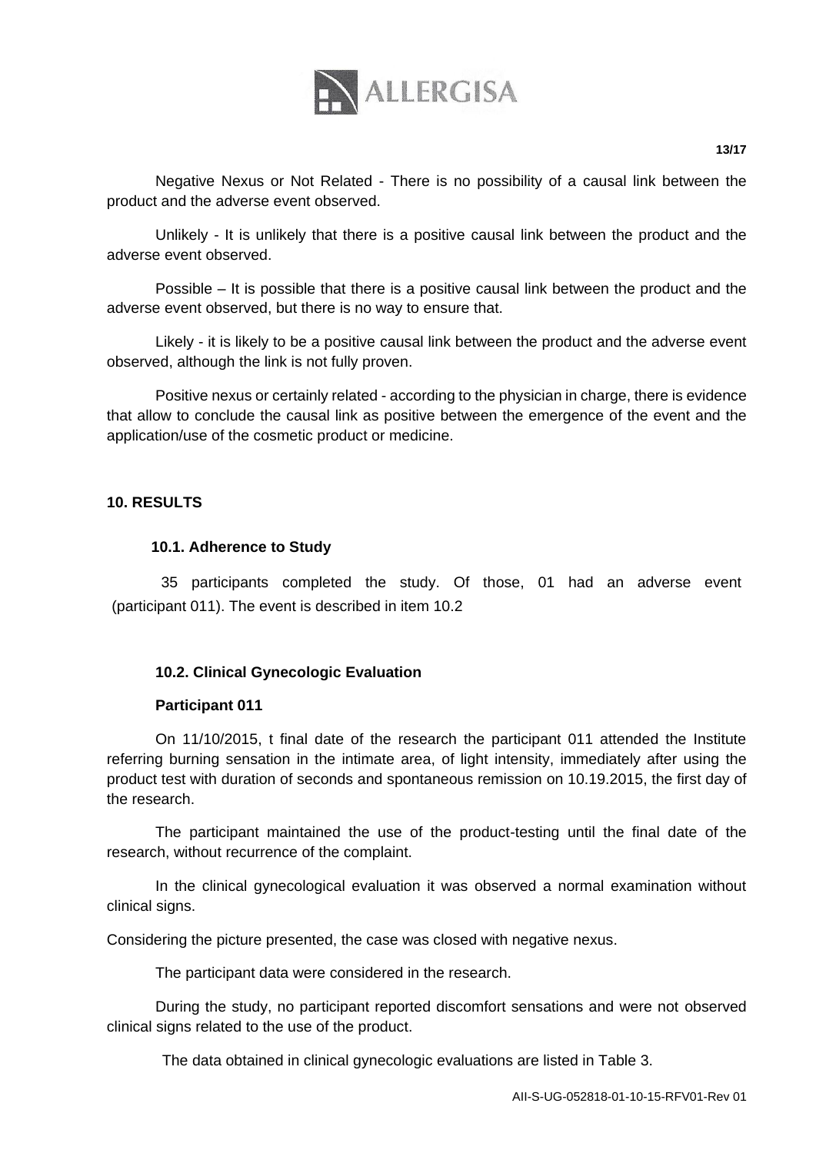

**13/17**

Negative Nexus or Not Related - There is no possibility of a causal link between the product and the adverse event observed.

Unlikely - It is unlikely that there is a positive causal link between the product and the adverse event observed.

Possible – It is possible that there is a positive causal link between the product and the adverse event observed, but there is no way to ensure that.

Likely - it is likely to be a positive causal link between the product and the adverse event observed, although the link is not fully proven.

Positive nexus or certainly related - according to the physician in charge, there is evidence that allow to conclude the causal link as positive between the emergence of the event and the application/use of the cosmetic product or medicine.

## **10. RESULTS**

#### **10.1. Adherence to Study**

35 participants completed the study. Of those, 01 had an adverse event (participant 011). The event is described in item 10.2

## **10.2. Clinical Gynecologic Evaluation**

#### **Participant 011**

On 11/10/2015, t final date of the research the participant 011 attended the Institute referring burning sensation in the intimate area, of light intensity, immediately after using the product test with duration of seconds and spontaneous remission on 10.19.2015, the first day of the research.

The participant maintained the use of the product-testing until the final date of the research, without recurrence of the complaint.

In the clinical gynecological evaluation it was observed a normal examination without clinical signs.

Considering the picture presented, the case was closed with negative nexus.

The participant data were considered in the research.

During the study, no participant reported discomfort sensations and were not observed clinical signs related to the use of the product.

The data obtained in clinical gynecologic evaluations are listed in Table 3.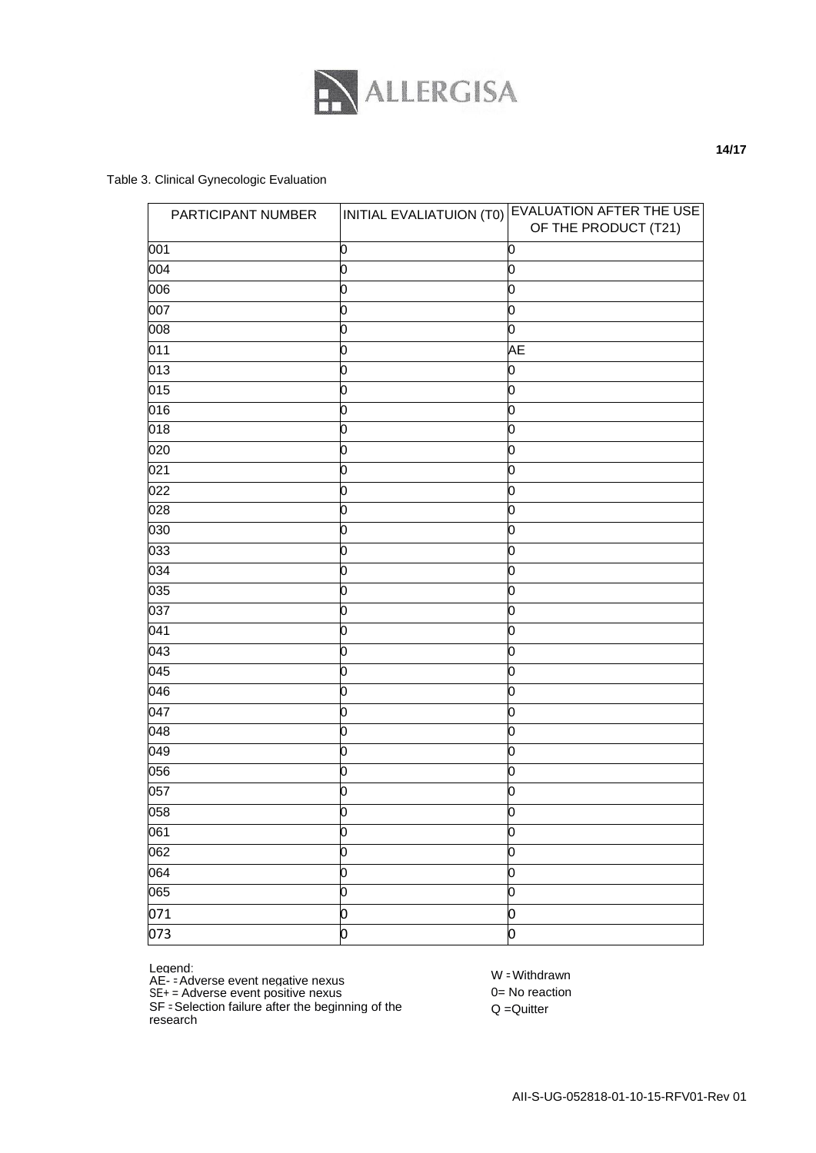

#### Table 3. Clinical Gynecologic Evaluation

| PARTICIPANT NUMBER |                | INITIAL EVALIATUION (T0) EVALUATION AFTER THE USE<br>OF THE PRODUCT (T21) |
|--------------------|----------------|---------------------------------------------------------------------------|
| 001                | О              | 0                                                                         |
| 004                | 0              | 0                                                                         |
| $\overline{006}$   | $\overline{0}$ | 0                                                                         |
| 007                | 0              | 0                                                                         |
| 008                | 0              | 0                                                                         |
| 011                | ō              | АE                                                                        |
| 013                | 0              | 0                                                                         |
| 015                | 0              | 0                                                                         |
| 016                | o              | 0                                                                         |
| 018                | 0              | 0                                                                         |
| 020                | 0              | 0                                                                         |
| 021                | $\overline{0}$ | 0                                                                         |
| 022                | 0              | 0                                                                         |
| 028                | 0              | 0                                                                         |
| 030                | 0              | 0                                                                         |
| 033                | 0              | 0                                                                         |
| 034                | 0              | 0                                                                         |
| 035                | 0              | 0                                                                         |
| 037                | 0              | 0                                                                         |
| 041                | 0              | 0                                                                         |
| $\overline{043}$   | 0              | 0                                                                         |
| 045                | 0              | 0                                                                         |
| 046                | 0              | 0                                                                         |
| 047                | 0              | 0                                                                         |
| 048                | 0              | 0                                                                         |
| 049                | 0              | 0                                                                         |
| 056                | 0              | 0                                                                         |
| 057                | ō              | 0                                                                         |
| 058                | ō              | n                                                                         |
| 061                | 0              | 0                                                                         |
| 062                | ō              | 0                                                                         |
| 064                | o              | 0                                                                         |
| 065                | 0              | 0                                                                         |
| 071                | 0              | 0                                                                         |
| 073                | 0              | 0                                                                         |

Legend:

AE- = Adverse event negative nexus

SE+ = Adverse event positive nexus

SF = Selection failure after the beginning of the research

W = Withdrawn 0= No reaction

Q =Quitter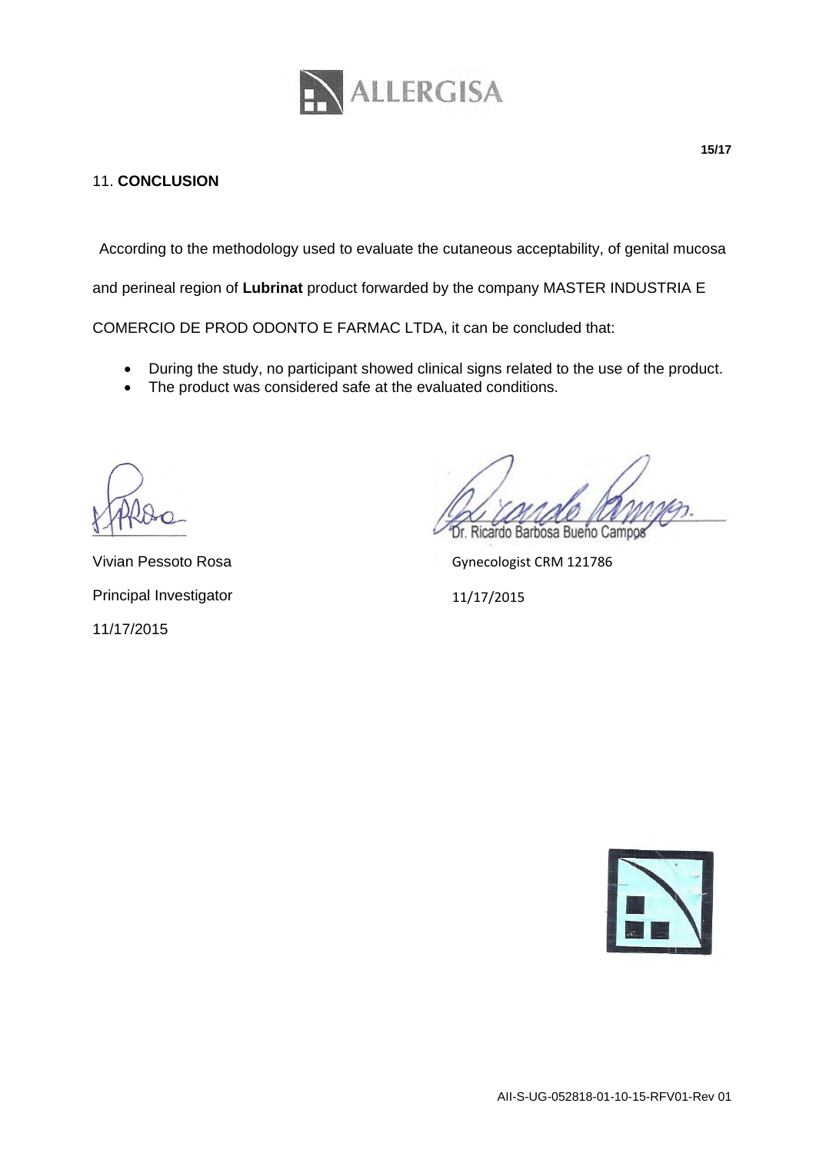

# 11. **CONCLUSION**

According to the methodology used to evaluate the cutaneous acceptability, of genital mucosa

and perineal region of **Lubrinat** product forwarded by the company MASTER INDUSTRIA E

COMERCIO DE PROD ODONTO E FARMAC LTDA, it can be concluded that:

- During the study, no participant showed clinical signs related to the use of the product.
- The product was considered safe at the evaluated conditions.

Vivian Pessoto Rosa Principal Investigator 11/17/2015

Ricardo Barbosa Bueño Campos

Gynecologist CRM 121786

11/17/2015

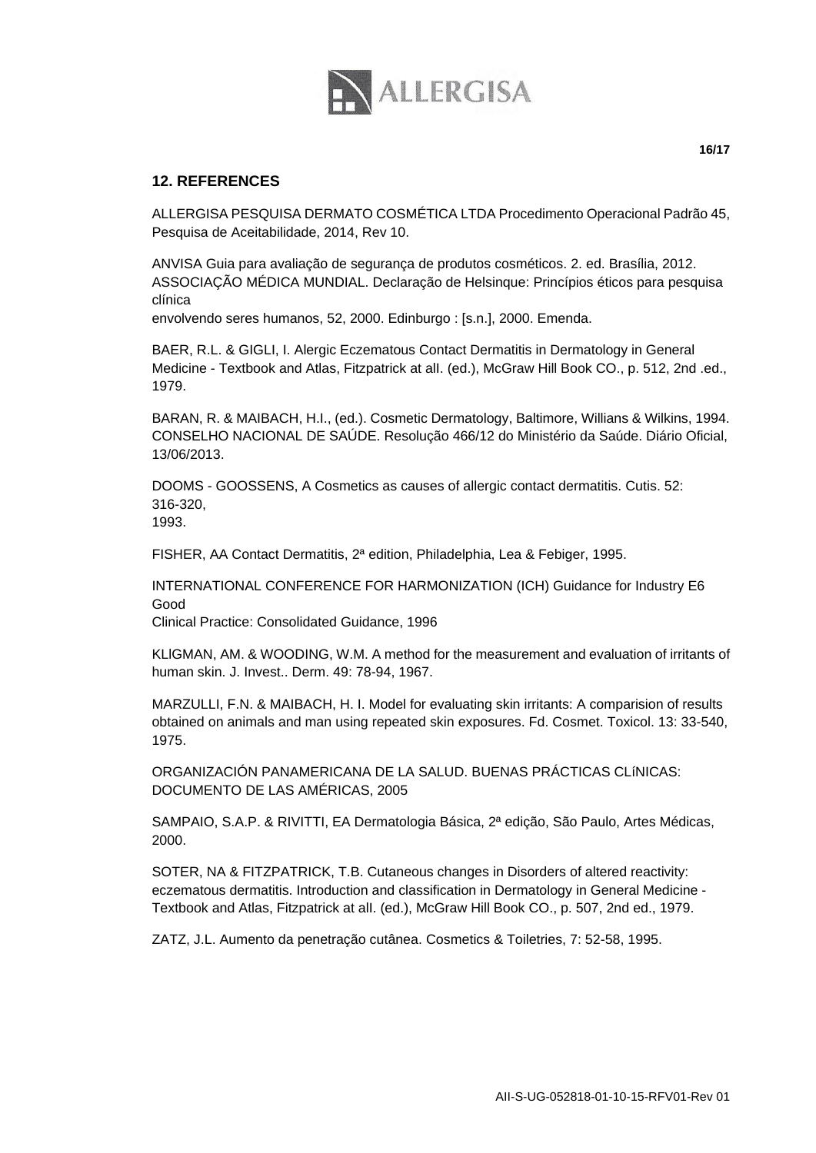

ALLERGISA PESQUISA DERMATO COSMÉTICA LTDA Procedimento Operacional Padrão 45, Pesquisa de Aceitabilidade, 2014, Rev 10.

ANVISA Guia para avaliação de segurança de produtos cosméticos. 2. ed. Brasília, 2012. ASSOCIAÇÃO MÉDICA MUNDIAL. Declaração de Helsinque: Princípios éticos para pesquisa clínica

envolvendo seres humanos, 52, 2000. Edinburgo : [s.n.], 2000. Emenda.

BAER, R.L. & GIGLI, I. Alergic Eczematous Contact Dermatitis in Dermatology in General Medicine - Textbook and Atlas, Fitzpatrick at alI. (ed.), McGraw Hill Book CO., p. 512, 2nd .ed., 1979.

BARAN, R. & MAIBACH, H.I., (ed.). Cosmetic Dermatology, Baltimore, Willians & Wilkins, 1994. CONSELHO NACIONAL DE SAÚDE. Resolução 466/12 do Ministério da Saúde. Diário Oficial, 13/06/2013.

DOOMS - GOOSSENS, A Cosmetics as causes of allergic contact dermatitis. Cutis. 52: 316-320, 1993.

FISHER, AA Contact Dermatitis, 2ª edition, Philadelphia, Lea & Febiger, 1995.

INTERNATIONAL CONFERENCE FOR HARMONIZATION (ICH) Guidance for Industry E6 Good

Clinical Practice: Consolidated Guidance, 1996

KLlGMAN, AM. & WOODING, W.M. A method for the measurement and evaluation of irritants of human skin. J. Invest.. Derm. 49: 78-94, 1967.

MARZULLI, F.N. & MAIBACH, H. I. Model for evaluating skin irritants: A comparision of results obtained on animals and man using repeated skin exposures. Fd. Cosmet. Toxicol. 13: 33-540, 1975.

ORGANIZACIÓN PANAMERICANA DE LA SALUD. BUENAS PRÁCTICAS CLíNICAS: DOCUMENTO DE LAS AMÉRICAS, 2005

SAMPAIO, S.A.P. & RIVITTI, EA Dermatologia Básica, 2ª edição, São Paulo, Artes Médicas, 2000.

SOTER, NA & FITZPATRICK, T.B. Cutaneous changes in Disorders of altered reactivity: eczematous dermatitis. Introduction and classification in Dermatology in General Medicine - Textbook and Atlas, Fitzpatrick at alI. (ed.), McGraw Hill Book CO., p. 507, 2nd ed., 1979.

ZATZ, J.L. Aumento da penetração cutânea. Cosmetics & Toiletries, 7: 52-58, 1995.